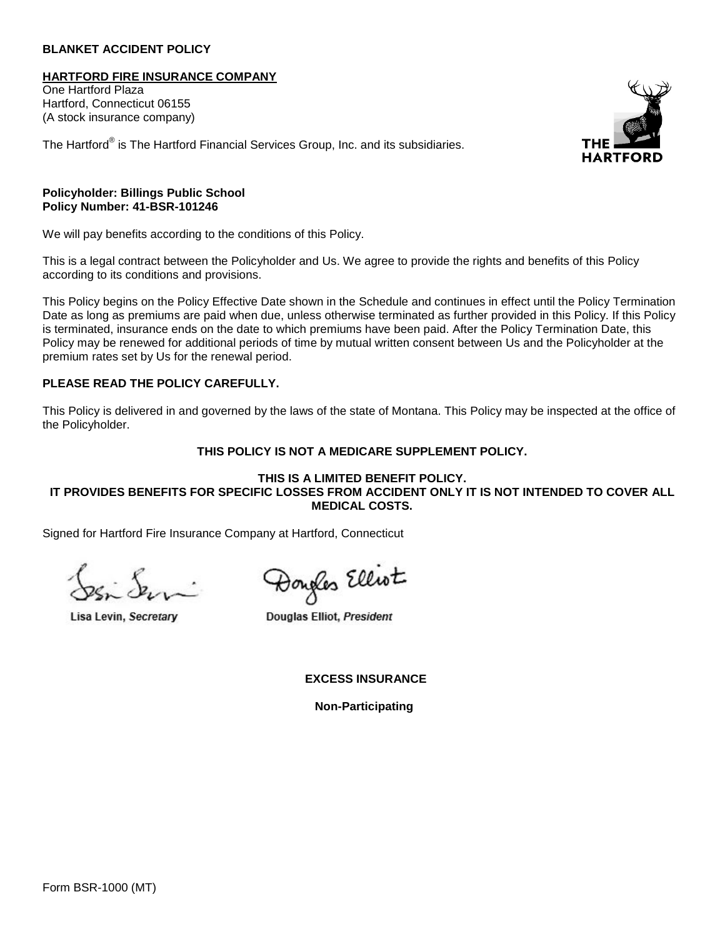#### **BLANKET ACCIDENT POLICY**

**HARTFORD FIRE INSURANCE COMPANY**

One Hartford Plaza Hartford, Connecticut 06155 (A stock insurance company)

The Hartford® is The Hartford Financial Services Group, Inc. and its subsidiaries.



#### **Policyholder: Billings Public School Policy Number: 41-BSR-101246**

We will pay benefits according to the conditions of this Policy.

This is a legal contract between the Policyholder and Us. We agree to provide the rights and benefits of this Policy according to its conditions and provisions.

This Policy begins on the Policy Effective Date shown in the Schedule and continues in effect until the Policy Termination Date as long as premiums are paid when due, unless otherwise terminated as further provided in this Policy. If this Policy is terminated, insurance ends on the date to which premiums have been paid. After the Policy Termination Date, this Policy may be renewed for additional periods of time by mutual written consent between Us and the Policyholder at the premium rates set by Us for the renewal period.

# **PLEASE READ THE POLICY CAREFULLY.**

This Policy is delivered in and governed by the laws of the state of Montana. This Policy may be inspected at the office of the Policyholder.

#### **THIS POLICY IS NOT A MEDICARE SUPPLEMENT POLICY.**

#### **THIS IS A LIMITED BENEFIT POLICY. IT PROVIDES BENEFITS FOR SPECIFIC LOSSES FROM ACCIDENT ONLY IT IS NOT INTENDED TO COVER ALL MEDICAL COSTS.**

Signed for Hartford Fire Insurance Company at Hartford, Connecticut

Lisa Levin, Secretary

Dougles Elliot

Douglas Elliot, President

 **EXCESS INSURANCE** 

**Non-Participating**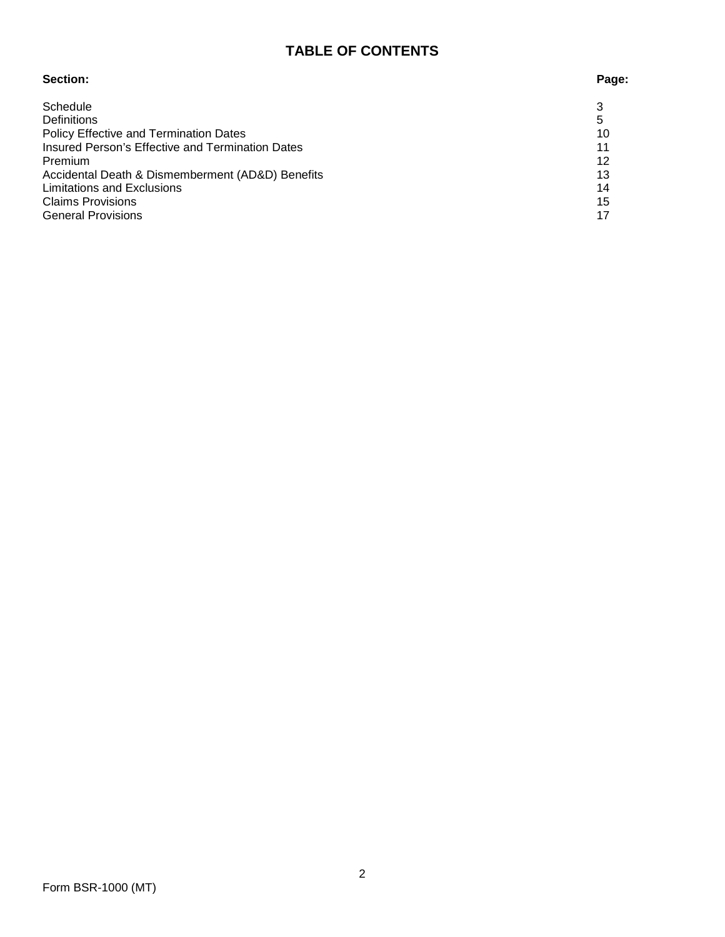# **TABLE OF CONTENTS**

# **Section: Page:**

# Schedule 3 and 3 and 3 and 3 and 3 and 3 and 3 and 3 and 3 and 3 and 3 and 3 and 3 and 3 and 3 and 3 and 3 and 3 and 3 and 3 and 3 and 3 and 3 and 3 and 3 and 3 and 3 and 3 and 3 and 3 and 3 and 3 and 3 and 3 and 3 and 3 a Definitions 5 Policy Effective and Termination Dates 10 Insured Person's Effective and Termination Dates 11<br>Premium 12 Premium 12 Accidental Death & Dismemberment (AD&D) Benefits 13 Limitations and Exclusions 14<br>
Claims Provisions 15 Claims Provisions General Provisions 17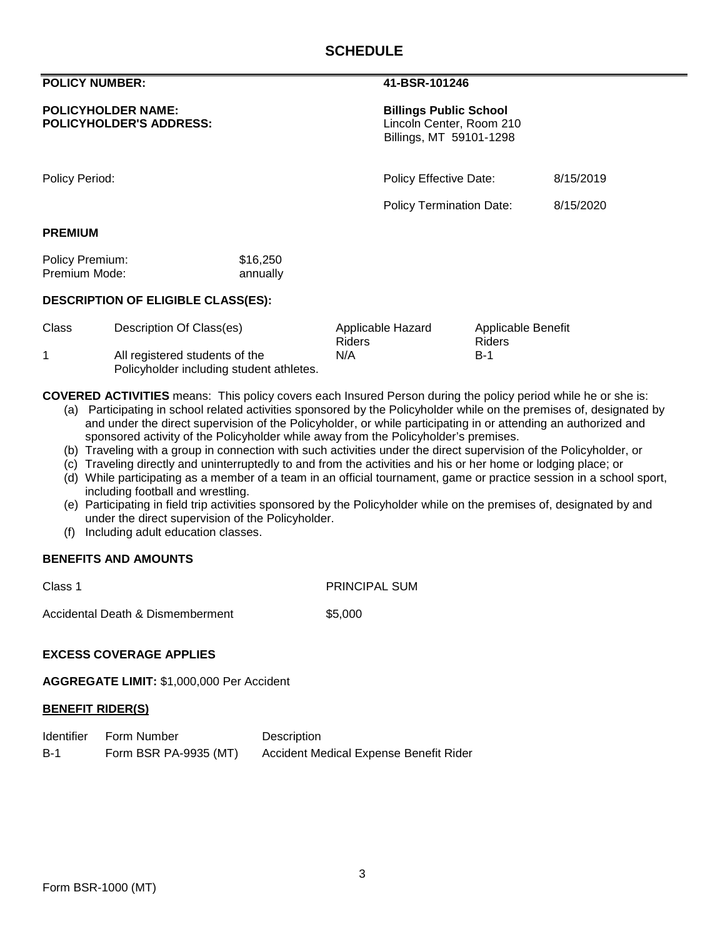#### **POLICY NUMBER: 41-BSR-101246**

#### **POLICYHOLDER NAME:**<br> **POLICYHOLDER'S ADDRESS:**<br> **EXECUTE:** Executive Director Center, Room 210 **POLICYHOLDER'S ADDRESS:**

Billings, MT 59101-1298

Policy Period: Policy Effective Date: 8/15/2019

Policy Termination Date: 8/15/2020

#### **PREMIUM**

| Policy Premium: | \$16,250 |
|-----------------|----------|
| Premium Mode:   | annually |

### **DESCRIPTION OF ELIGIBLE CLASS(ES):**

| Class | Description Of Class(es)                 | Applicable Hazard | Applicable Benefit |
|-------|------------------------------------------|-------------------|--------------------|
|       |                                          | Riders            | Riders             |
|       | All registered students of the           | N/A               | <b>B-1</b>         |
|       | Policyholder including student athletes. |                   |                    |

**COVERED ACTIVITIES** means: This policy covers each Insured Person during the policy period while he or she is:

- (a) Participating in school related activities sponsored by the Policyholder while on the premises of, designated by and under the direct supervision of the Policyholder, or while participating in or attending an authorized and sponsored activity of the Policyholder while away from the Policyholder's premises.
- (b) Traveling with a group in connection with such activities under the direct supervision of the Policyholder, or
- (c) Traveling directly and uninterruptedly to and from the activities and his or her home or lodging place; or
- (d) While participating as a member of a team in an official tournament, game or practice session in a school sport, including football and wrestling.
- (e) Participating in field trip activities sponsored by the Policyholder while on the premises of, designated by and under the direct supervision of the Policyholder.
- (f) Including adult education classes.

#### **BENEFITS AND AMOUNTS**

Class 1 PRINCIPAL SUM

Accidental Death & Dismemberment \$5,000

#### **EXCESS COVERAGE APPLIES**

**AGGREGATE LIMIT:** \$1,000,000 Per Accident

# **BENEFIT RIDER(S)**

|       | Identifier Form Number | Description                            |
|-------|------------------------|----------------------------------------|
| $B-1$ | Form BSR PA-9935 (MT)  | Accident Medical Expense Benefit Rider |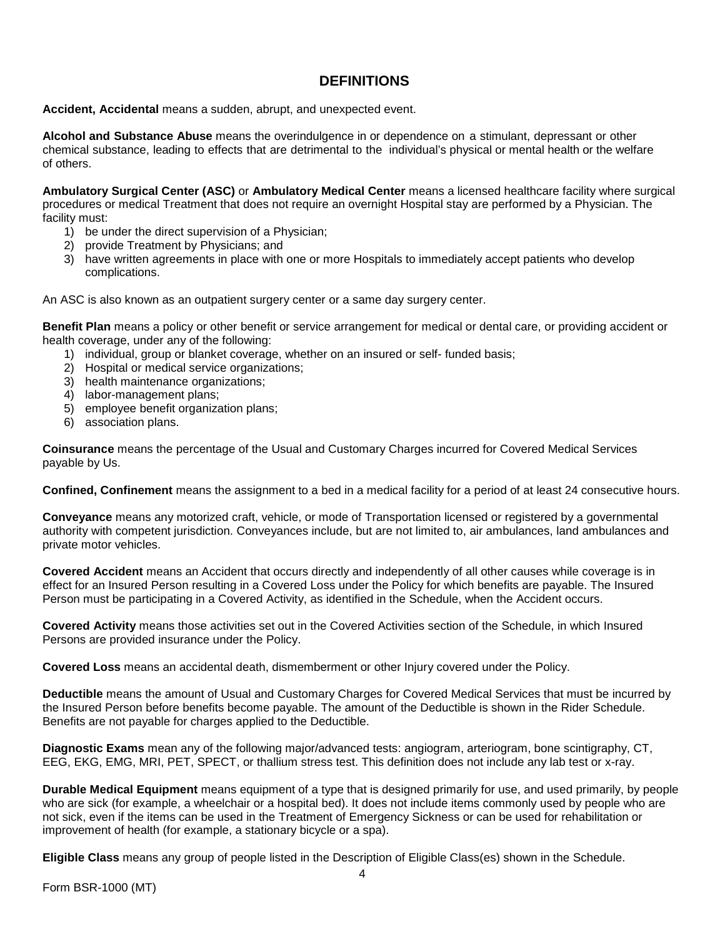# **DEFINITIONS**

**Accident, Accidental** means a sudden, abrupt, and unexpected event.

**Alcohol and Substance Abuse** means the overindulgence in or dependence on a stimulant, depressant or other chemical substance, leading to effects that are detrimental to the individual's physical or mental health or the welfare of others.

**Ambulatory Surgical Center (ASC)** or **Ambulatory Medical Center** means a licensed healthcare facility where surgical procedures or medical Treatment that does not require an overnight Hospital stay are performed by a Physician. The facility must:

- 1) be under the direct supervision of a Physician;
- 2) provide Treatment by Physicians; and
- 3) have written agreements in place with one or more Hospitals to immediately accept patients who develop complications.

An ASC is also known as an outpatient surgery center or a same day surgery center.

**Benefit Plan** means a policy or other benefit or service arrangement for medical or dental care, or providing accident or health coverage, under any of the following:

- 1) individual, group or blanket coverage, whether on an insured or self- funded basis;
- 2) Hospital or medical service organizations;
- 3) health maintenance organizations;
- 4) labor-management plans;
- 5) employee benefit organization plans;
- 6) association plans.

**Coinsurance** means the percentage of the Usual and Customary Charges incurred for Covered Medical Services payable by Us.

**Confined, Confinement** means the assignment to a bed in a medical facility for a period of at least 24 consecutive hours.

**Conveyance** means any motorized craft, vehicle, or mode of Transportation licensed or registered by a governmental authority with competent jurisdiction. Conveyances include, but are not limited to, air ambulances, land ambulances and private motor vehicles.

**Covered Accident** means an Accident that occurs directly and independently of all other causes while coverage is in effect for an Insured Person resulting in a Covered Loss under the Policy for which benefits are payable. The Insured Person must be participating in a Covered Activity, as identified in the Schedule, when the Accident occurs.

**Covered Activity** means those activities set out in the Covered Activities section of the Schedule, in which Insured Persons are provided insurance under the Policy.

**Covered Loss** means an accidental death, dismemberment or other Injury covered under the Policy.

**Deductible** means the amount of Usual and Customary Charges for Covered Medical Services that must be incurred by the Insured Person before benefits become payable. The amount of the Deductible is shown in the Rider Schedule. Benefits are not payable for charges applied to the Deductible.

**Diagnostic Exams** mean any of the following major/advanced tests: angiogram, arteriogram, bone scintigraphy, CT, EEG, EKG, EMG, MRI, PET, SPECT, or thallium stress test. This definition does not include any lab test or x-ray.

**Durable Medical Equipment** means equipment of a type that is designed primarily for use, and used primarily, by people who are sick (for example, a wheelchair or a hospital bed). It does not include items commonly used by people who are not sick, even if the items can be used in the Treatment of Emergency Sickness or can be used for rehabilitation or improvement of health (for example, a stationary bicycle or a spa).

**Eligible Class** means any group of people listed in the Description of Eligible Class(es) shown in the Schedule.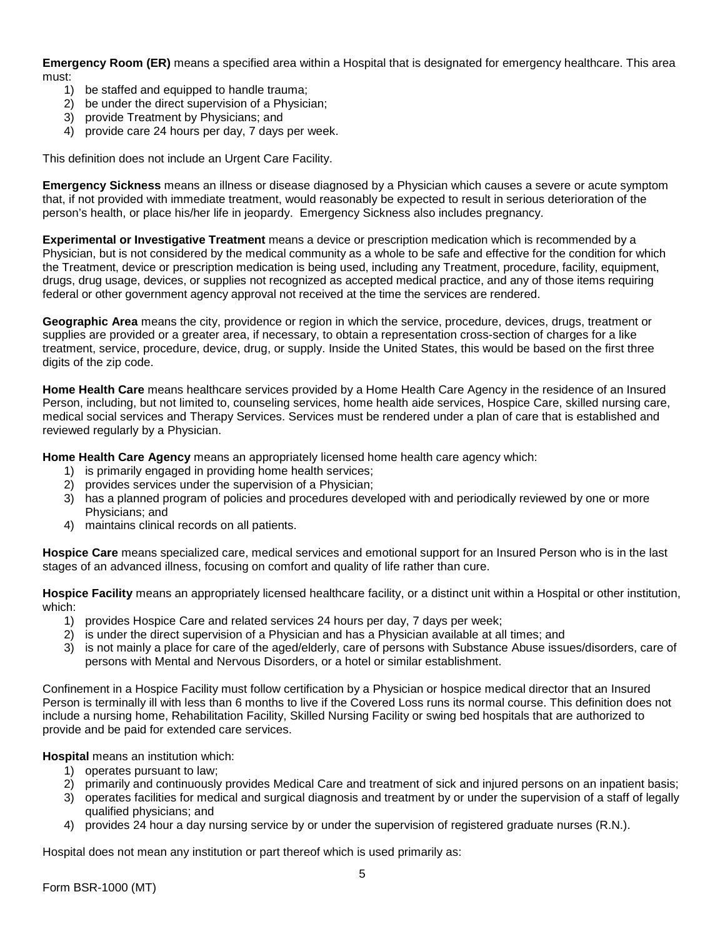**Emergency Room (ER)** means a specified area within a Hospital that is designated for emergency healthcare. This area must:

- 1) be staffed and equipped to handle trauma;
- 2) be under the direct supervision of a Physician;
- 3) provide Treatment by Physicians; and
- 4) provide care 24 hours per day, 7 days per week.

This definition does not include an Urgent Care Facility.

**Emergency Sickness** means an illness or disease diagnosed by a Physician which causes a severe or acute symptom that, if not provided with immediate treatment, would reasonably be expected to result in serious deterioration of the person's health, or place his/her life in jeopardy. Emergency Sickness also includes pregnancy.

**Experimental or Investigative Treatment** means a device or prescription medication which is recommended by a Physician, but is not considered by the medical community as a whole to be safe and effective for the condition for which the Treatment, device or prescription medication is being used, including any Treatment, procedure, facility, equipment, drugs, drug usage, devices, or supplies not recognized as accepted medical practice, and any of those items requiring federal or other government agency approval not received at the time the services are rendered.

**Geographic Area** means the city, providence or region in which the service, procedure, devices, drugs, treatment or supplies are provided or a greater area, if necessary, to obtain a representation cross-section of charges for a like treatment, service, procedure, device, drug, or supply. Inside the United States, this would be based on the first three digits of the zip code.

**Home Health Care** means healthcare services provided by a Home Health Care Agency in the residence of an Insured Person, including, but not limited to, counseling services, home health aide services, Hospice Care, skilled nursing care, medical social services and Therapy Services. Services must be rendered under a plan of care that is established and reviewed regularly by a Physician.

**Home Health Care Agency** means an appropriately licensed home health care agency which:

- 1) is primarily engaged in providing home health services;
- 2) provides services under the supervision of a Physician;
- 3) has a planned program of policies and procedures developed with and periodically reviewed by one or more Physicians; and
- 4) maintains clinical records on all patients.

**Hospice Care** means specialized care, medical services and emotional support for an Insured Person who is in the last stages of an advanced illness, focusing on comfort and quality of life rather than cure.

**Hospice Facility** means an appropriately licensed healthcare facility, or a distinct unit within a Hospital or other institution, which:

- 1) provides Hospice Care and related services 24 hours per day, 7 days per week;
- 2) is under the direct supervision of a Physician and has a Physician available at all times; and
- 3) is not mainly a place for care of the aged/elderly, care of persons with Substance Abuse issues/disorders, care of persons with Mental and Nervous Disorders, or a hotel or similar establishment.

Confinement in a Hospice Facility must follow certification by a Physician or hospice medical director that an Insured Person is terminally ill with less than 6 months to live if the Covered Loss runs its normal course. This definition does not include a nursing home, Rehabilitation Facility, Skilled Nursing Facility or swing bed hospitals that are authorized to provide and be paid for extended care services.

**Hospital** means an institution which:

- 1) operates pursuant to law;
- 2) primarily and continuously provides Medical Care and treatment of sick and injured persons on an inpatient basis;
- 3) operates facilities for medical and surgical diagnosis and treatment by or under the supervision of a staff of legally qualified physicians; and
- 4) provides 24 hour a day nursing service by or under the supervision of registered graduate nurses (R.N.).

Hospital does not mean any institution or part thereof which is used primarily as: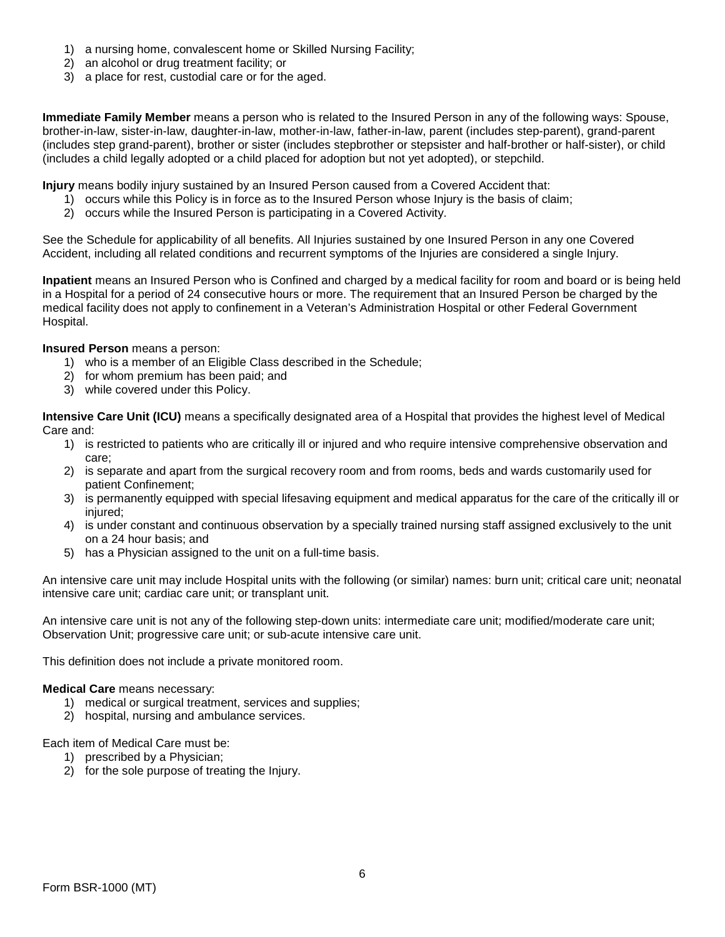- 1) a nursing home, convalescent home or Skilled Nursing Facility;
- 2) an alcohol or drug treatment facility; or
- 3) a place for rest, custodial care or for the aged.

**Immediate Family Member** means a person who is related to the Insured Person in any of the following ways: Spouse, brother-in-law, sister-in-law, daughter-in-law, mother-in-law, father-in-law, parent (includes step-parent), grand-parent (includes step grand-parent), brother or sister (includes stepbrother or stepsister and half-brother or half-sister), or child (includes a child legally adopted or a child placed for adoption but not yet adopted), or stepchild.

**Injury** means bodily injury sustained by an Insured Person caused from a Covered Accident that:

- 1) occurs while this Policy is in force as to the Insured Person whose Injury is the basis of claim;
- 2) occurs while the Insured Person is participating in a Covered Activity.

See the Schedule for applicability of all benefits. All Injuries sustained by one Insured Person in any one Covered Accident, including all related conditions and recurrent symptoms of the Injuries are considered a single Injury.

**Inpatient** means an Insured Person who is Confined and charged by a medical facility for room and board or is being held in a Hospital for a period of 24 consecutive hours or more. The requirement that an Insured Person be charged by the medical facility does not apply to confinement in a Veteran's Administration Hospital or other Federal Government Hospital.

**Insured Person** means a person:

- 1) who is a member of an Eligible Class described in the Schedule;
- 2) for whom premium has been paid; and
- 3) while covered under this Policy.

**Intensive Care Unit (ICU)** means a specifically designated area of a Hospital that provides the highest level of Medical Care and:

- 1) is restricted to patients who are critically ill or injured and who require intensive comprehensive observation and care;
- 2) is separate and apart from the surgical recovery room and from rooms, beds and wards customarily used for patient Confinement;
- 3) is permanently equipped with special lifesaving equipment and medical apparatus for the care of the critically ill or injured;
- 4) is under constant and continuous observation by a specially trained nursing staff assigned exclusively to the unit on a 24 hour basis; and
- 5) has a Physician assigned to the unit on a full-time basis.

An intensive care unit may include Hospital units with the following (or similar) names: burn unit; critical care unit; neonatal intensive care unit; cardiac care unit; or transplant unit.

An intensive care unit is not any of the following step-down units: intermediate care unit; modified/moderate care unit; Observation Unit; progressive care unit; or sub-acute intensive care unit.

This definition does not include a private monitored room.

#### **Medical Care** means necessary:

- 1) medical or surgical treatment, services and supplies;
- 2) hospital, nursing and ambulance services.

Each item of Medical Care must be:

- 1) prescribed by a Physician;
- 2) for the sole purpose of treating the Injury.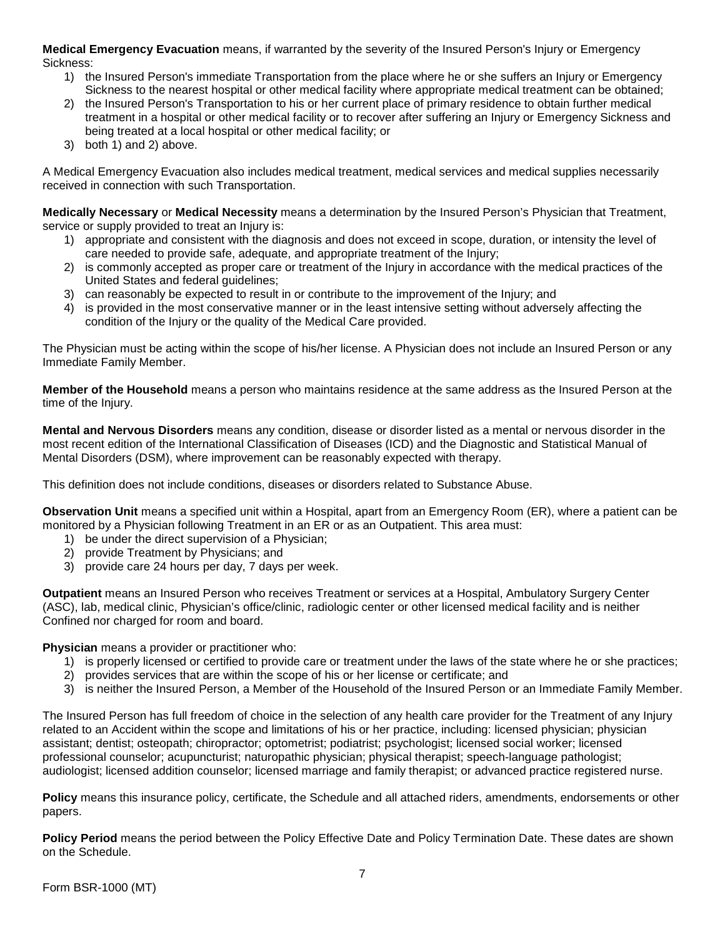**Medical Emergency Evacuation** means, if warranted by the severity of the Insured Person's Injury or Emergency Sickness:

- 1) the Insured Person's immediate Transportation from the place where he or she suffers an Injury or Emergency Sickness to the nearest hospital or other medical facility where appropriate medical treatment can be obtained;
- 2) the Insured Person's Transportation to his or her current place of primary residence to obtain further medical treatment in a hospital or other medical facility or to recover after suffering an Injury or Emergency Sickness and being treated at a local hospital or other medical facility; or
- 3) both 1) and 2) above.

A Medical Emergency Evacuation also includes medical treatment, medical services and medical supplies necessarily received in connection with such Transportation.

**Medically Necessary** or **Medical Necessity** means a determination by the Insured Person's Physician that Treatment, service or supply provided to treat an Injury is:

- 1) appropriate and consistent with the diagnosis and does not exceed in scope, duration, or intensity the level of care needed to provide safe, adequate, and appropriate treatment of the Injury;
- 2) is commonly accepted as proper care or treatment of the Injury in accordance with the medical practices of the United States and federal guidelines;
- 3) can reasonably be expected to result in or contribute to the improvement of the Injury; and
- 4) is provided in the most conservative manner or in the least intensive setting without adversely affecting the condition of the Injury or the quality of the Medical Care provided.

The Physician must be acting within the scope of his/her license. A Physician does not include an Insured Person or any Immediate Family Member.

**Member of the Household** means a person who maintains residence at the same address as the Insured Person at the time of the Injury.

**Mental and Nervous Disorders** means any condition, disease or disorder listed as a mental or nervous disorder in the most recent edition of the International Classification of Diseases (ICD) and the Diagnostic and Statistical Manual of Mental Disorders (DSM), where improvement can be reasonably expected with therapy.

This definition does not include conditions, diseases or disorders related to Substance Abuse.

**Observation Unit** means a specified unit within a Hospital, apart from an Emergency Room (ER), where a patient can be monitored by a Physician following Treatment in an ER or as an Outpatient. This area must:

- 1) be under the direct supervision of a Physician;
- 2) provide Treatment by Physicians; and
- 3) provide care 24 hours per day, 7 days per week.

**Outpatient** means an Insured Person who receives Treatment or services at a Hospital, Ambulatory Surgery Center (ASC), lab, medical clinic, Physician's office/clinic, radiologic center or other licensed medical facility and is neither Confined nor charged for room and board.

**Physician** means a provider or practitioner who:

- 1) is properly licensed or certified to provide care or treatment under the laws of the state where he or she practices;
- 2) provides services that are within the scope of his or her license or certificate; and
- 3) is neither the Insured Person, a Member of the Household of the Insured Person or an Immediate Family Member.

The Insured Person has full freedom of choice in the selection of any health care provider for the Treatment of any Injury related to an Accident within the scope and limitations of his or her practice, including: licensed physician; physician assistant; dentist; osteopath; chiropractor; optometrist; podiatrist; psychologist; licensed social worker; licensed professional counselor; acupuncturist; naturopathic physician; physical therapist; speech-language pathologist; audiologist; licensed addition counselor; licensed marriage and family therapist; or advanced practice registered nurse.

**Policy** means this insurance policy, certificate, the Schedule and all attached riders, amendments, endorsements or other papers.

**Policy Period** means the period between the Policy Effective Date and Policy Termination Date. These dates are shown on the Schedule.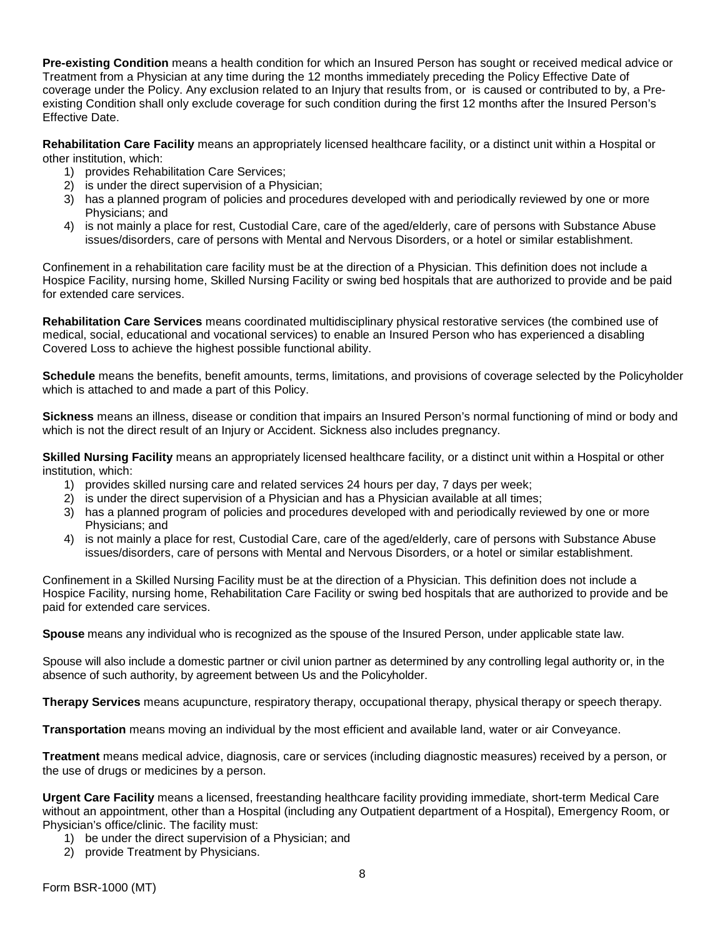**Pre-existing Condition** means a health condition for which an Insured Person has sought or received medical advice or Treatment from a Physician at any time during the 12 months immediately preceding the Policy Effective Date of coverage under the Policy. Any exclusion related to an Injury that results from, or is caused or contributed to by, a Preexisting Condition shall only exclude coverage for such condition during the first 12 months after the Insured Person's Effective Date.

**Rehabilitation Care Facility** means an appropriately licensed healthcare facility, or a distinct unit within a Hospital or other institution, which:

- 1) provides Rehabilitation Care Services;
- 2) is under the direct supervision of a Physician;
- 3) has a planned program of policies and procedures developed with and periodically reviewed by one or more Physicians; and
- 4) is not mainly a place for rest, Custodial Care, care of the aged/elderly, care of persons with Substance Abuse issues/disorders, care of persons with Mental and Nervous Disorders, or a hotel or similar establishment.

Confinement in a rehabilitation care facility must be at the direction of a Physician. This definition does not include a Hospice Facility, nursing home, Skilled Nursing Facility or swing bed hospitals that are authorized to provide and be paid for extended care services.

**Rehabilitation Care Services** means coordinated multidisciplinary physical restorative services (the combined use of medical, social, educational and vocational services) to enable an Insured Person who has experienced a disabling Covered Loss to achieve the highest possible functional ability.

**Schedule** means the benefits, benefit amounts, terms, limitations, and provisions of coverage selected by the Policyholder which is attached to and made a part of this Policy.

**Sickness** means an illness, disease or condition that impairs an Insured Person's normal functioning of mind or body and which is not the direct result of an Injury or Accident. Sickness also includes pregnancy.

**Skilled Nursing Facility** means an appropriately licensed healthcare facility, or a distinct unit within a Hospital or other institution, which:

- 1) provides skilled nursing care and related services 24 hours per day, 7 days per week;
- 2) is under the direct supervision of a Physician and has a Physician available at all times;
- 3) has a planned program of policies and procedures developed with and periodically reviewed by one or more Physicians; and
- 4) is not mainly a place for rest, Custodial Care, care of the aged/elderly, care of persons with Substance Abuse issues/disorders, care of persons with Mental and Nervous Disorders, or a hotel or similar establishment.

Confinement in a Skilled Nursing Facility must be at the direction of a Physician. This definition does not include a Hospice Facility, nursing home, Rehabilitation Care Facility or swing bed hospitals that are authorized to provide and be paid for extended care services.

**Spouse** means any individual who is recognized as the spouse of the Insured Person, under applicable state law.

Spouse will also include a domestic partner or civil union partner as determined by any controlling legal authority or, in the absence of such authority, by agreement between Us and the Policyholder.

**Therapy Services** means acupuncture, respiratory therapy, occupational therapy, physical therapy or speech therapy.

**Transportation** means moving an individual by the most efficient and available land, water or air Conveyance.

**Treatment** means medical advice, diagnosis, care or services (including diagnostic measures) received by a person, or the use of drugs or medicines by a person.

**Urgent Care Facility** means a licensed, freestanding healthcare facility providing immediate, short-term Medical Care without an appointment, other than a Hospital (including any Outpatient department of a Hospital), Emergency Room, or Physician's office/clinic. The facility must:

- 1) be under the direct supervision of a Physician; and
- 2) provide Treatment by Physicians.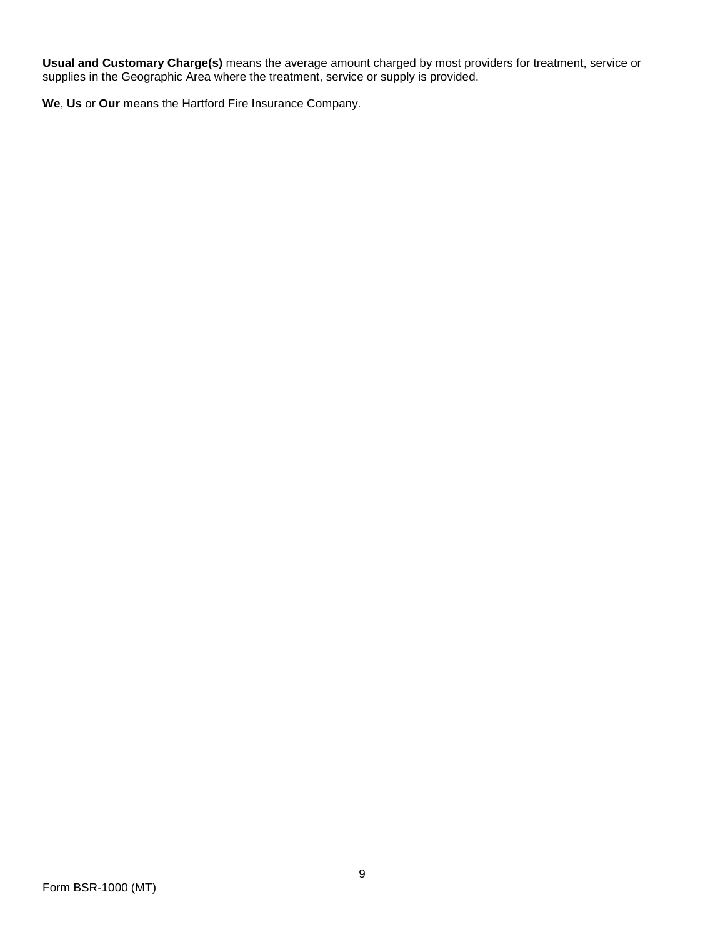**Usual and Customary Charge(s)** means the average amount charged by most providers for treatment, service or supplies in the Geographic Area where the treatment, service or supply is provided.

**We**, **Us** or **Our** means the Hartford Fire Insurance Company.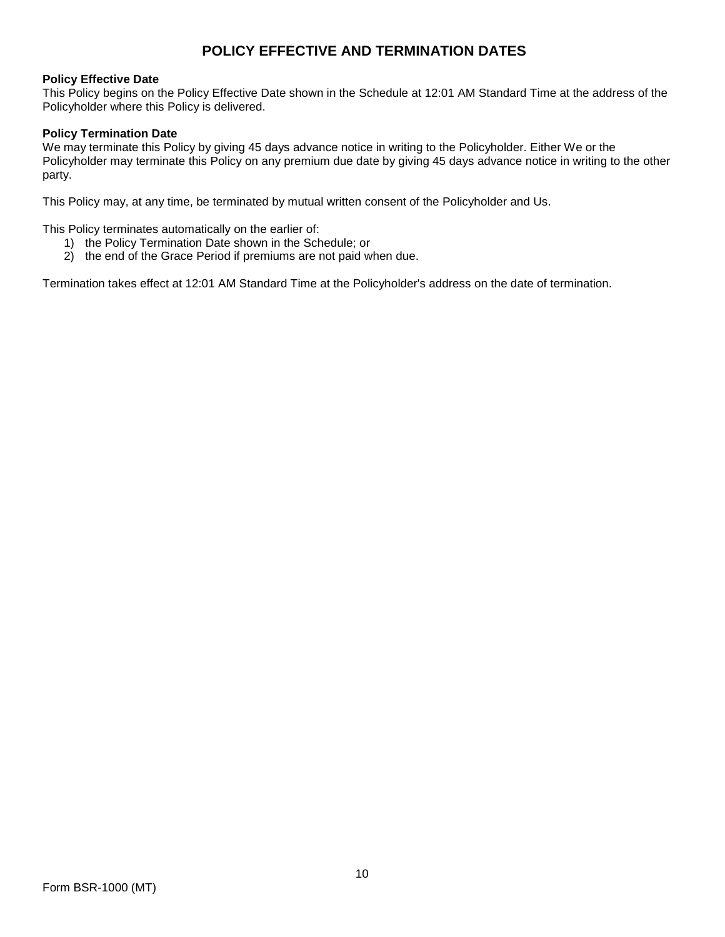# **POLICY EFFECTIVE AND TERMINATION DATES**

#### **Policy Effective Date**

This Policy begins on the Policy Effective Date shown in the Schedule at 12:01 AM Standard Time at the address of the Policyholder where this Policy is delivered.

#### **Policy Termination Date**

We may terminate this Policy by giving 45 days advance notice in writing to the Policyholder. Either We or the Policyholder may terminate this Policy on any premium due date by giving 45 days advance notice in writing to the other party.

This Policy may, at any time, be terminated by mutual written consent of the Policyholder and Us.

This Policy terminates automatically on the earlier of:

- 1) the Policy Termination Date shown in the Schedule; or
- 2) the end of the Grace Period if premiums are not paid when due.

Termination takes effect at 12:01 AM Standard Time at the Policyholder's address on the date of termination.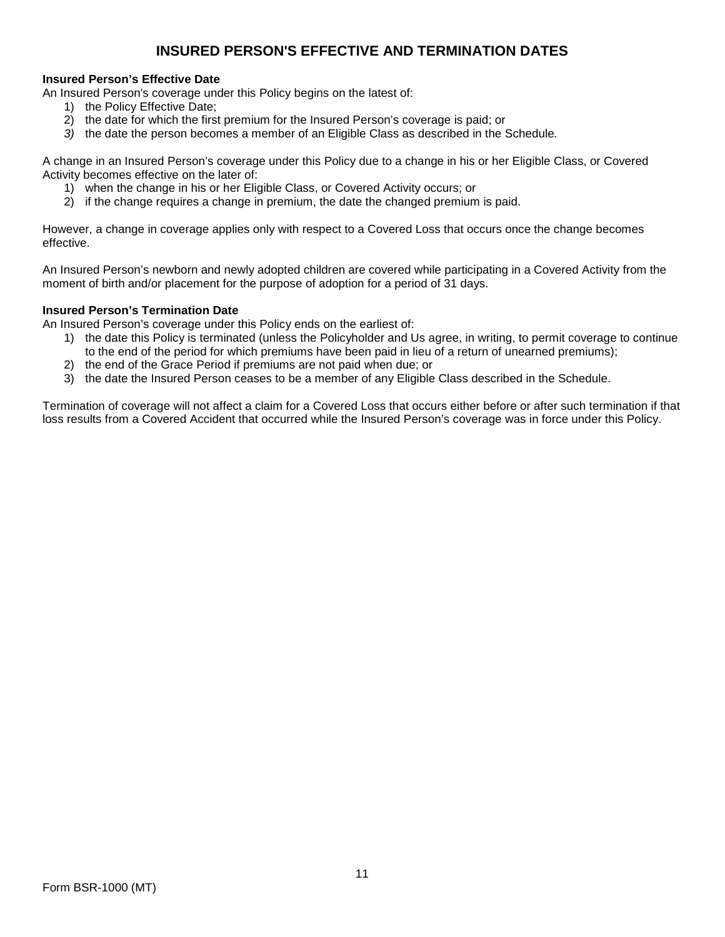# **INSURED PERSON'S EFFECTIVE AND TERMINATION DATES**

# **Insured Person's Effective Date**

An Insured Person's coverage under this Policy begins on the latest of:

- 1) the Policy Effective Date;
- 2) the date for which the first premium for the Insured Person's coverage is paid; or
- *3)* the date the person becomes a member of an Eligible Class as described in the Schedule*.*

A change in an Insured Person's coverage under this Policy due to a change in his or her Eligible Class, or Covered Activity becomes effective on the later of:

- 1) when the change in his or her Eligible Class, or Covered Activity occurs; or
- 2) if the change requires a change in premium, the date the changed premium is paid.

However, a change in coverage applies only with respect to a Covered Loss that occurs once the change becomes effective.

An Insured Person's newborn and newly adopted children are covered while participating in a Covered Activity from the moment of birth and/or placement for the purpose of adoption for a period of 31 days.

# **Insured Person's Termination Date**

An Insured Person's coverage under this Policy ends on the earliest of:

- 1) the date this Policy is terminated (unless the Policyholder and Us agree, in writing, to permit coverage to continue to the end of the period for which premiums have been paid in lieu of a return of unearned premiums);
- 2) the end of the Grace Period if premiums are not paid when due; or
- 3) the date the Insured Person ceases to be a member of any Eligible Class described in the Schedule.

Termination of coverage will not affect a claim for a Covered Loss that occurs either before or after such termination if that loss results from a Covered Accident that occurred while the Insured Person's coverage was in force under this Policy.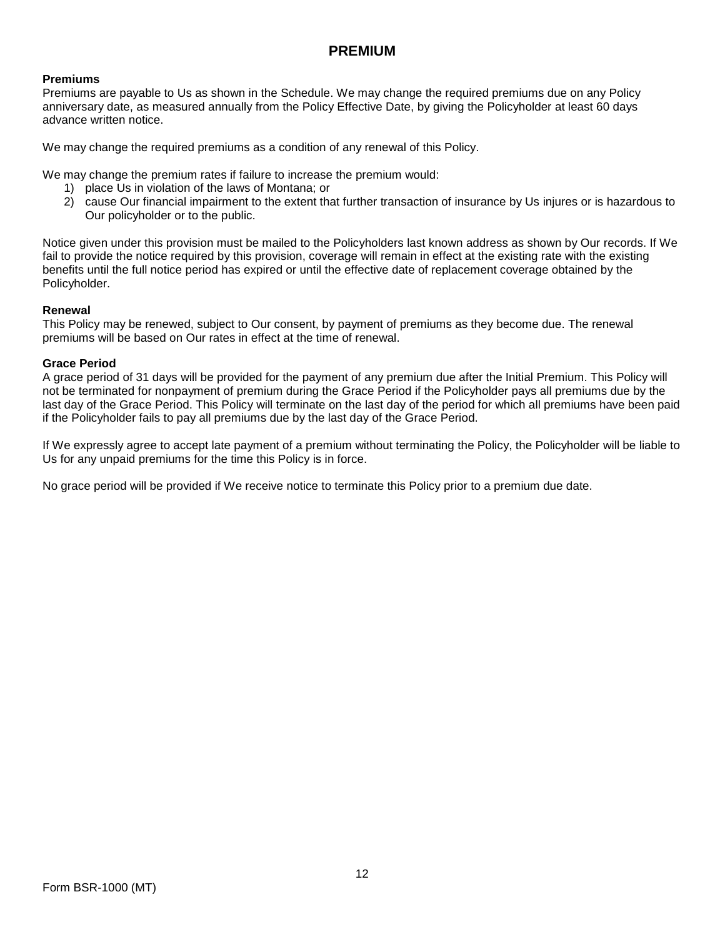# **PREMIUM**

# **Premiums**

Premiums are payable to Us as shown in the Schedule. We may change the required premiums due on any Policy anniversary date, as measured annually from the Policy Effective Date, by giving the Policyholder at least 60 days advance written notice.

We may change the required premiums as a condition of any renewal of this Policy.

We may change the premium rates if failure to increase the premium would:

- 1) place Us in violation of the laws of Montana; or
- 2) cause Our financial impairment to the extent that further transaction of insurance by Us injures or is hazardous to Our policyholder or to the public.

Notice given under this provision must be mailed to the Policyholders last known address as shown by Our records. If We fail to provide the notice required by this provision, coverage will remain in effect at the existing rate with the existing benefits until the full notice period has expired or until the effective date of replacement coverage obtained by the Policyholder.

# **Renewal**

This Policy may be renewed, subject to Our consent, by payment of premiums as they become due. The renewal premiums will be based on Our rates in effect at the time of renewal.

# **Grace Period**

A grace period of 31 days will be provided for the payment of any premium due after the Initial Premium. This Policy will not be terminated for nonpayment of premium during the Grace Period if the Policyholder pays all premiums due by the last day of the Grace Period. This Policy will terminate on the last day of the period for which all premiums have been paid if the Policyholder fails to pay all premiums due by the last day of the Grace Period.

If We expressly agree to accept late payment of a premium without terminating the Policy, the Policyholder will be liable to Us for any unpaid premiums for the time this Policy is in force.

No grace period will be provided if We receive notice to terminate this Policy prior to a premium due date.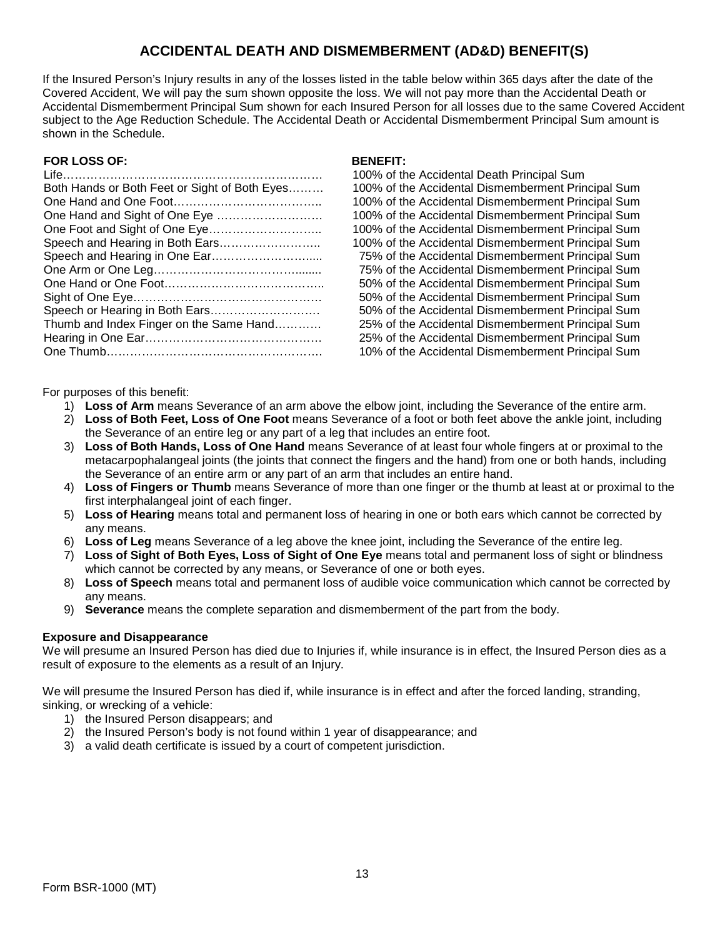# **ACCIDENTAL DEATH AND DISMEMBERMENT (AD&D) BENEFIT(S)**

If the Insured Person's Injury results in any of the losses listed in the table below within 365 days after the date of the Covered Accident, We will pay the sum shown opposite the loss. We will not pay more than the Accidental Death or Accidental Dismemberment Principal Sum shown for each Insured Person for all losses due to the same Covered Accident subject to the Age Reduction Schedule. The Accidental Death or Accidental Dismemberment Principal Sum amount is shown in the Schedule.

# **FOR LOSS OF: BENEFIT:**

100% of the Accidental Death Principal Sum 100% of the Accidental Dismemberment Principal Sum 100% of the Accidental Dismemberment Principal Sum 100% of the Accidental Dismemberment Principal Sum 100% of the Accidental Dismemberment Principal Sum 100% of the Accidental Dismemberment Principal Sum 75% of the Accidental Dismemberment Principal Sum 75% of the Accidental Dismemberment Principal Sum 50% of the Accidental Dismemberment Principal Sum 50% of the Accidental Dismemberment Principal Sum 50% of the Accidental Dismemberment Principal Sum 25% of the Accidental Dismemberment Principal Sum 25% of the Accidental Dismemberment Principal Sum 10% of the Accidental Dismemberment Principal Sum

For purposes of this benefit:

- 1) **Loss of Arm** means Severance of an arm above the elbow joint, including the Severance of the entire arm.
- 2) **Loss of Both Feet, Loss of One Foot** means Severance of a foot or both feet above the ankle joint, including the Severance of an entire leg or any part of a leg that includes an entire foot.
- 3) **Loss of Both Hands, Loss of One Hand** means Severance of at least four whole fingers at or proximal to the metacarpophalangeal joints (the joints that connect the fingers and the hand) from one or both hands, including the Severance of an entire arm or any part of an arm that includes an entire hand.
- 4) **Loss of Fingers or Thumb** means Severance of more than one finger or the thumb at least at or proximal to the first interphalangeal joint of each finger.
- 5) **Loss of Hearing** means total and permanent loss of hearing in one or both ears which cannot be corrected by any means.
- 6) **Loss of Leg** means Severance of a leg above the knee joint, including the Severance of the entire leg.
- 7) **Loss of Sight of Both Eyes, Loss of Sight of One Eye** means total and permanent loss of sight or blindness which cannot be corrected by any means, or Severance of one or both eyes.
- 8) **Loss of Speech** means total and permanent loss of audible voice communication which cannot be corrected by any means.
- 9) **Severance** means the complete separation and dismemberment of the part from the body.

# **Exposure and Disappearance**

We will presume an Insured Person has died due to Injuries if, while insurance is in effect, the Insured Person dies as a result of exposure to the elements as a result of an Injury.

We will presume the Insured Person has died if, while insurance is in effect and after the forced landing, stranding, sinking, or wrecking of a vehicle:

- 1) the Insured Person disappears; and
- 2) the Insured Person's body is not found within 1 year of disappearance; and
- 3) a valid death certificate is issued by a court of competent jurisdiction.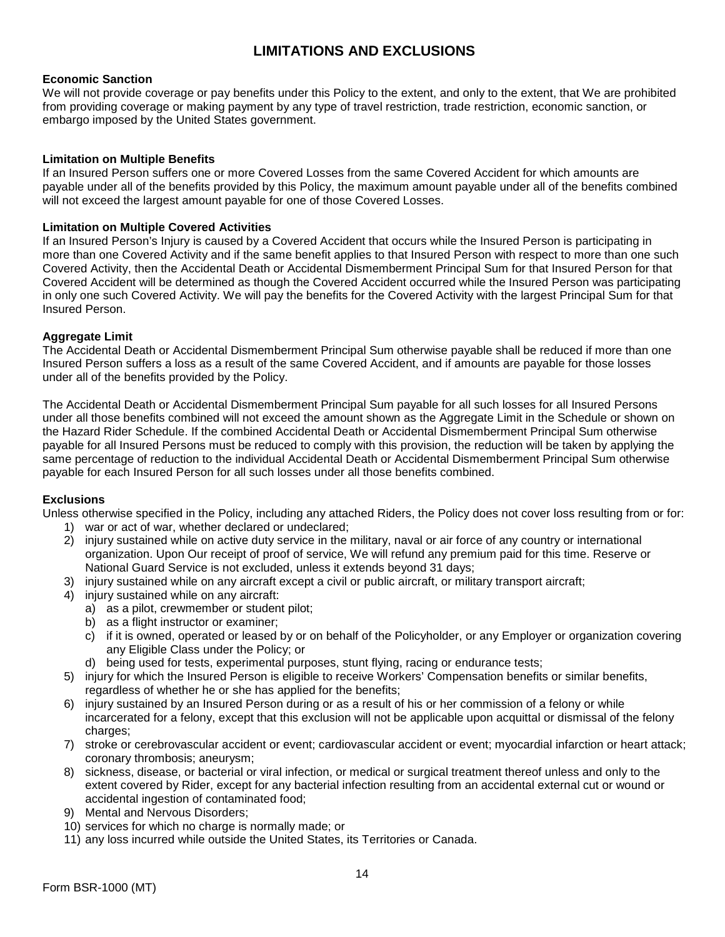# **LIMITATIONS AND EXCLUSIONS**

# **Economic Sanction**

We will not provide coverage or pay benefits under this Policy to the extent, and only to the extent, that We are prohibited from providing coverage or making payment by any type of travel restriction, trade restriction, economic sanction, or embargo imposed by the United States government.

# **Limitation on Multiple Benefits**

If an Insured Person suffers one or more Covered Losses from the same Covered Accident for which amounts are payable under all of the benefits provided by this Policy, the maximum amount payable under all of the benefits combined will not exceed the largest amount payable for one of those Covered Losses.

# **Limitation on Multiple Covered Activities**

If an Insured Person's Injury is caused by a Covered Accident that occurs while the Insured Person is participating in more than one Covered Activity and if the same benefit applies to that Insured Person with respect to more than one such Covered Activity, then the Accidental Death or Accidental Dismemberment Principal Sum for that Insured Person for that Covered Accident will be determined as though the Covered Accident occurred while the Insured Person was participating in only one such Covered Activity. We will pay the benefits for the Covered Activity with the largest Principal Sum for that Insured Person.

#### **Aggregate Limit**

The Accidental Death or Accidental Dismemberment Principal Sum otherwise payable shall be reduced if more than one Insured Person suffers a loss as a result of the same Covered Accident, and if amounts are payable for those losses under all of the benefits provided by the Policy.

The Accidental Death or Accidental Dismemberment Principal Sum payable for all such losses for all Insured Persons under all those benefits combined will not exceed the amount shown as the Aggregate Limit in the Schedule or shown on the Hazard Rider Schedule. If the combined Accidental Death or Accidental Dismemberment Principal Sum otherwise payable for all Insured Persons must be reduced to comply with this provision, the reduction will be taken by applying the same percentage of reduction to the individual Accidental Death or Accidental Dismemberment Principal Sum otherwise payable for each Insured Person for all such losses under all those benefits combined.

#### **Exclusions**

Unless otherwise specified in the Policy, including any attached Riders, the Policy does not cover loss resulting from or for:

- 1) war or act of war, whether declared or undeclared;
- 2) injury sustained while on active duty service in the military, naval or air force of any country or international organization. Upon Our receipt of proof of service, We will refund any premium paid for this time. Reserve or National Guard Service is not excluded, unless it extends beyond 31 days;
- 3) injury sustained while on any aircraft except a civil or public aircraft, or military transport aircraft;
- 4) injury sustained while on any aircraft:
	- a) as a pilot, crewmember or student pilot;
	- b) as a flight instructor or examiner:
	- c) if it is owned, operated or leased by or on behalf of the Policyholder, or any Employer or organization covering any Eligible Class under the Policy; or
	- d) being used for tests, experimental purposes, stunt flying, racing or endurance tests;
- 5) injury for which the Insured Person is eligible to receive Workers' Compensation benefits or similar benefits, regardless of whether he or she has applied for the benefits;
- 6) injury sustained by an Insured Person during or as a result of his or her commission of a felony or while incarcerated for a felony, except that this exclusion will not be applicable upon acquittal or dismissal of the felony charges:
- 7) stroke or cerebrovascular accident or event; cardiovascular accident or event; myocardial infarction or heart attack; coronary thrombosis; aneurysm;
- 8) sickness, disease, or bacterial or viral infection, or medical or surgical treatment thereof unless and only to the extent covered by Rider, except for any bacterial infection resulting from an accidental external cut or wound or accidental ingestion of contaminated food;
- 9) Mental and Nervous Disorders;
- 10) services for which no charge is normally made; or
- 11) any loss incurred while outside the United States, its Territories or Canada.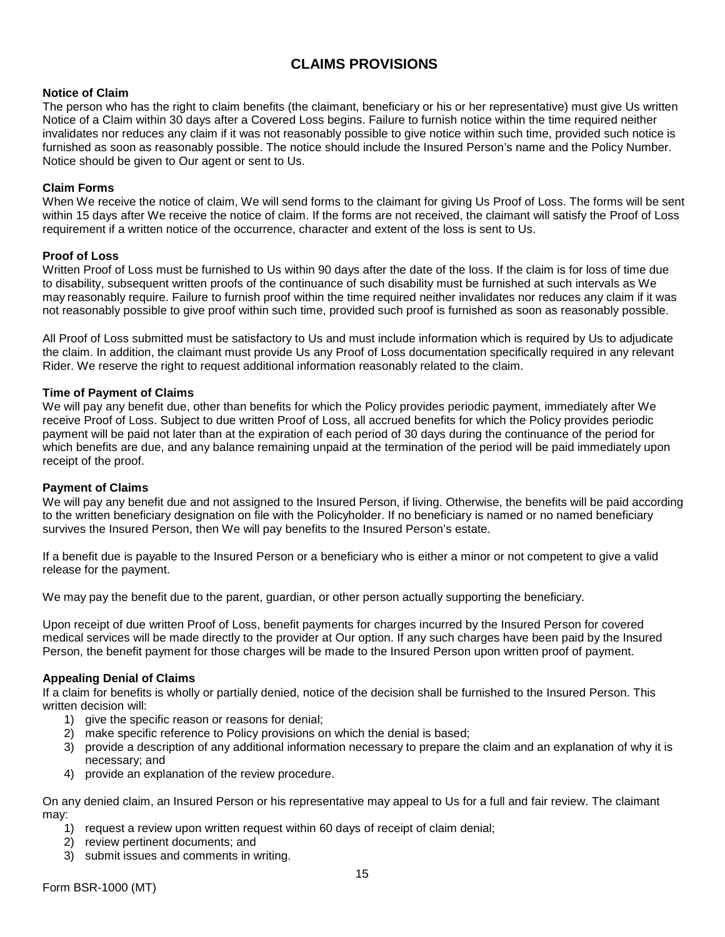# **CLAIMS PROVISIONS**

# **Notice of Claim**

The person who has the right to claim benefits (the claimant, beneficiary or his or her representative) must give Us written Notice of a Claim within 30 days after a Covered Loss begins. Failure to furnish notice within the time required neither invalidates nor reduces any claim if it was not reasonably possible to give notice within such time, provided such notice is furnished as soon as reasonably possible. The notice should include the Insured Person's name and the Policy Number. Notice should be given to Our agent or sent to Us.

# **Claim Forms**

When We receive the notice of claim, We will send forms to the claimant for giving Us Proof of Loss. The forms will be sent within 15 days after We receive the notice of claim. If the forms are not received, the claimant will satisfy the Proof of Loss requirement if a written notice of the occurrence, character and extent of the loss is sent to Us.

# **Proof of Loss**

Written Proof of Loss must be furnished to Us within 90 days after the date of the loss. If the claim is for loss of time due to disability, subsequent written proofs of the continuance of such disability must be furnished at such intervals as We may reasonably require. Failure to furnish proof within the time required neither invalidates nor reduces any claim if it was not reasonably possible to give proof within such time, provided such proof is furnished as soon as reasonably possible.

All Proof of Loss submitted must be satisfactory to Us and must include information which is required by Us to adjudicate the claim. In addition, the claimant must provide Us any Proof of Loss documentation specifically required in any relevant Rider. We reserve the right to request additional information reasonably related to the claim.

# **Time of Payment of Claims**

We will pay any benefit due, other than benefits for which the Policy provides periodic payment, immediately after We receive Proof of Loss. Subject to due written Proof of Loss, all accrued benefits for which the Policy provides periodic payment will be paid not later than at the expiration of each period of 30 days during the continuance of the period for which benefits are due, and any balance remaining unpaid at the termination of the period will be paid immediately upon receipt of the proof.

#### **Payment of Claims**

We will pay any benefit due and not assigned to the Insured Person, if living. Otherwise, the benefits will be paid according to the written beneficiary designation on file with the Policyholder. If no beneficiary is named or no named beneficiary survives the Insured Person, then We will pay benefits to the Insured Person's estate.

If a benefit due is payable to the Insured Person or a beneficiary who is either a minor or not competent to give a valid release for the payment.

We may pay the benefit due to the parent, guardian, or other person actually supporting the beneficiary.

Upon receipt of due written Proof of Loss, benefit payments for charges incurred by the Insured Person for covered medical services will be made directly to the provider at Our option. If any such charges have been paid by the Insured Person, the benefit payment for those charges will be made to the Insured Person upon written proof of payment.

#### **Appealing Denial of Claims**

If a claim for benefits is wholly or partially denied, notice of the decision shall be furnished to the Insured Person. This written decision will:

- 1) give the specific reason or reasons for denial;
- 2) make specific reference to Policy provisions on which the denial is based;
- 3) provide a description of any additional information necessary to prepare the claim and an explanation of why it is necessary; and
- 4) provide an explanation of the review procedure.

On any denied claim, an Insured Person or his representative may appeal to Us for a full and fair review. The claimant may:

- 1) request a review upon written request within 60 days of receipt of claim denial;
- 2) review pertinent documents; and
- 3) submit issues and comments in writing.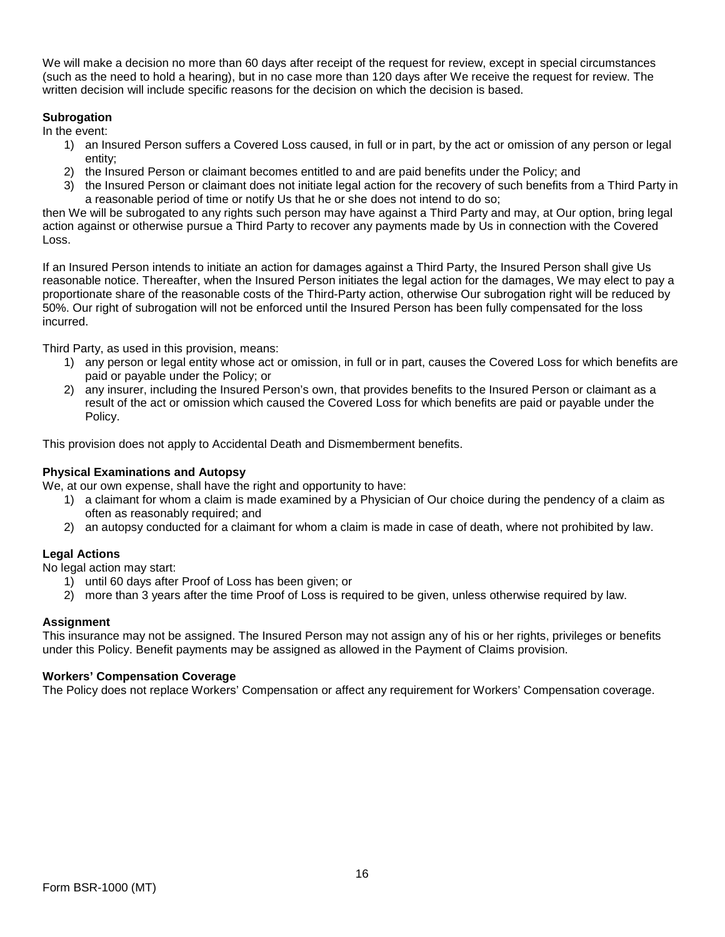We will make a decision no more than 60 days after receipt of the request for review, except in special circumstances (such as the need to hold a hearing), but in no case more than 120 days after We receive the request for review. The written decision will include specific reasons for the decision on which the decision is based.

# **Subrogation**

In the event:

- 1) an Insured Person suffers a Covered Loss caused, in full or in part, by the act or omission of any person or legal entity;
- 2) the Insured Person or claimant becomes entitled to and are paid benefits under the Policy; and
- 3) the Insured Person or claimant does not initiate legal action for the recovery of such benefits from a Third Party in a reasonable period of time or notify Us that he or she does not intend to do so;

then We will be subrogated to any rights such person may have against a Third Party and may, at Our option, bring legal action against or otherwise pursue a Third Party to recover any payments made by Us in connection with the Covered Loss.

If an Insured Person intends to initiate an action for damages against a Third Party, the Insured Person shall give Us reasonable notice. Thereafter, when the Insured Person initiates the legal action for the damages, We may elect to pay a proportionate share of the reasonable costs of the Third-Party action, otherwise Our subrogation right will be reduced by 50%. Our right of subrogation will not be enforced until the Insured Person has been fully compensated for the loss incurred.

Third Party, as used in this provision, means:

- 1) any person or legal entity whose act or omission, in full or in part, causes the Covered Loss for which benefits are paid or payable under the Policy; or
- 2) any insurer, including the Insured Person's own, that provides benefits to the Insured Person or claimant as a result of the act or omission which caused the Covered Loss for which benefits are paid or payable under the Policy.

This provision does not apply to Accidental Death and Dismemberment benefits.

### **Physical Examinations and Autopsy**

We, at our own expense, shall have the right and opportunity to have:

- 1) a claimant for whom a claim is made examined by a Physician of Our choice during the pendency of a claim as often as reasonably required; and
- 2) an autopsy conducted for a claimant for whom a claim is made in case of death, where not prohibited by law.

# **Legal Actions**

No legal action may start:

- 1) until 60 days after Proof of Loss has been given; or
- 2) more than 3 years after the time Proof of Loss is required to be given, unless otherwise required by law.

# **Assignment**

This insurance may not be assigned. The Insured Person may not assign any of his or her rights, privileges or benefits under this Policy. Benefit payments may be assigned as allowed in the Payment of Claims provision.

#### **Workers' Compensation Coverage**

The Policy does not replace Workers' Compensation or affect any requirement for Workers' Compensation coverage.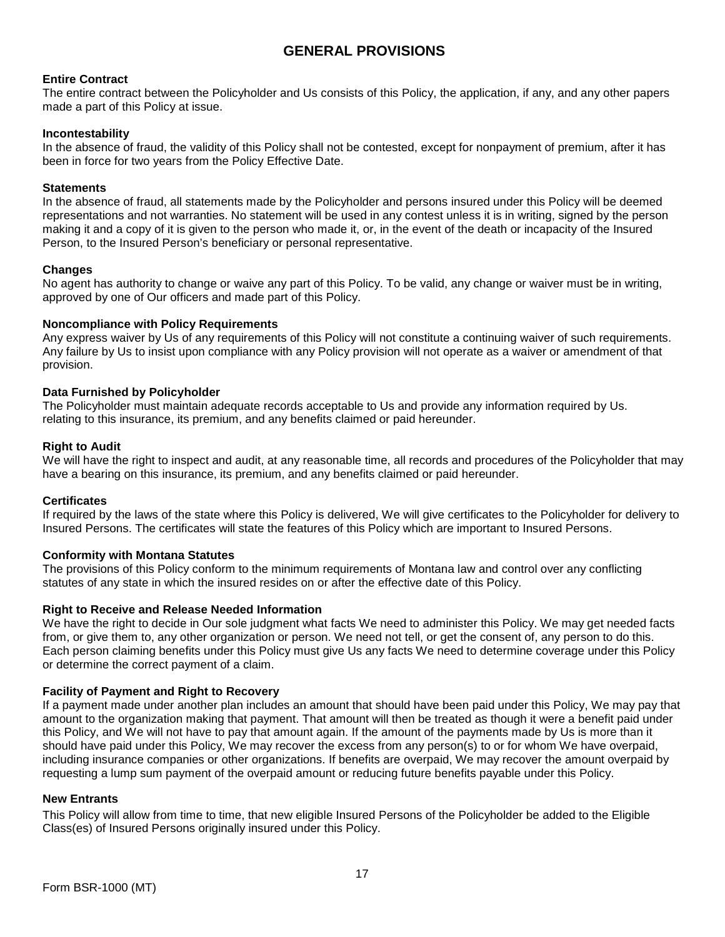# **GENERAL PROVISIONS**

# **Entire Contract**

The entire contract between the Policyholder and Us consists of this Policy, the application, if any, and any other papers made a part of this Policy at issue.

### **Incontestability**

In the absence of fraud, the validity of this Policy shall not be contested, except for nonpayment of premium, after it has been in force for two years from the Policy Effective Date.

### **Statements**

In the absence of fraud, all statements made by the Policyholder and persons insured under this Policy will be deemed representations and not warranties. No statement will be used in any contest unless it is in writing, signed by the person making it and a copy of it is given to the person who made it, or, in the event of the death or incapacity of the Insured Person, to the Insured Person's beneficiary or personal representative.

#### **Changes**

No agent has authority to change or waive any part of this Policy. To be valid, any change or waiver must be in writing, approved by one of Our officers and made part of this Policy.

# **Noncompliance with Policy Requirements**

Any express waiver by Us of any requirements of this Policy will not constitute a continuing waiver of such requirements. Any failure by Us to insist upon compliance with any Policy provision will not operate as a waiver or amendment of that provision.

# **Data Furnished by Policyholder**

The Policyholder must maintain adequate records acceptable to Us and provide any information required by Us. relating to this insurance, its premium, and any benefits claimed or paid hereunder.

# **Right to Audit**

We will have the right to inspect and audit, at any reasonable time, all records and procedures of the Policyholder that may have a bearing on this insurance, its premium, and any benefits claimed or paid hereunder.

#### **Certificates**

If required by the laws of the state where this Policy is delivered, We will give certificates to the Policyholder for delivery to Insured Persons. The certificates will state the features of this Policy which are important to Insured Persons.

# **Conformity with Montana Statutes**

The provisions of this Policy conform to the minimum requirements of Montana law and control over any conflicting statutes of any state in which the insured resides on or after the effective date of this Policy.

#### **Right to Receive and Release Needed Information**

We have the right to decide in Our sole judgment what facts We need to administer this Policy. We may get needed facts from, or give them to, any other organization or person. We need not tell, or get the consent of, any person to do this. Each person claiming benefits under this Policy must give Us any facts We need to determine coverage under this Policy or determine the correct payment of a claim.

#### **Facility of Payment and Right to Recovery**

If a payment made under another plan includes an amount that should have been paid under this Policy, We may pay that amount to the organization making that payment. That amount will then be treated as though it were a benefit paid under this Policy, and We will not have to pay that amount again. If the amount of the payments made by Us is more than it should have paid under this Policy, We may recover the excess from any person(s) to or for whom We have overpaid, including insurance companies or other organizations. If benefits are overpaid, We may recover the amount overpaid by requesting a lump sum payment of the overpaid amount or reducing future benefits payable under this Policy.

#### **New Entrants**

This Policy will allow from time to time, that new eligible Insured Persons of the Policyholder be added to the Eligible Class(es) of Insured Persons originally insured under this Policy.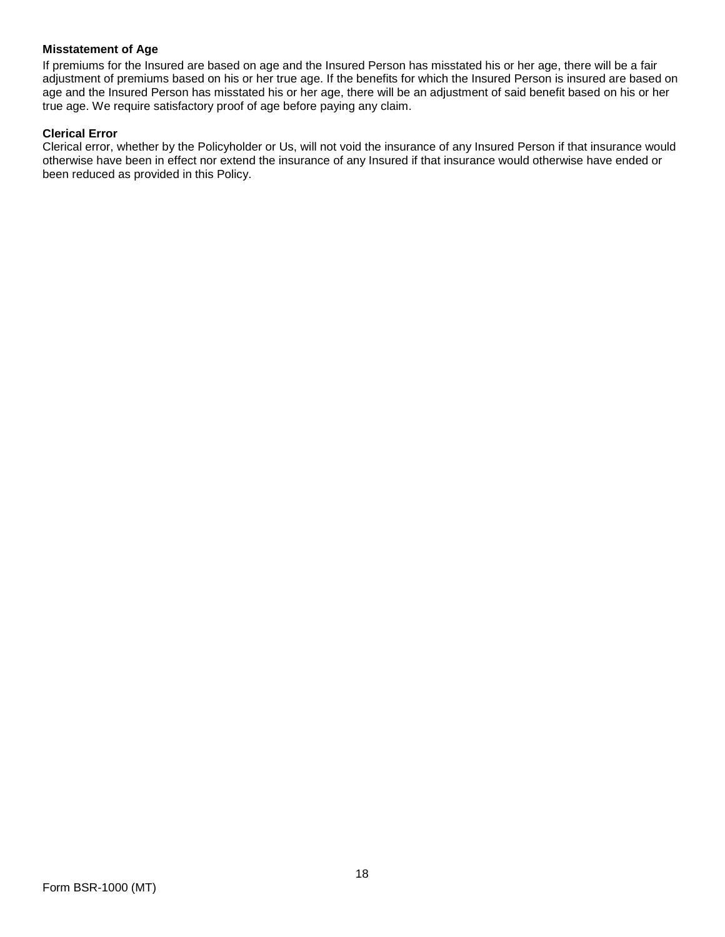# **Misstatement of Age**

If premiums for the Insured are based on age and the Insured Person has misstated his or her age, there will be a fair adjustment of premiums based on his or her true age. If the benefits for which the Insured Person is insured are based on age and the Insured Person has misstated his or her age, there will be an adjustment of said benefit based on his or her true age. We require satisfactory proof of age before paying any claim.

# **Clerical Error**

Clerical error, whether by the Policyholder or Us, will not void the insurance of any Insured Person if that insurance would otherwise have been in effect nor extend the insurance of any Insured if that insurance would otherwise have ended or been reduced as provided in this Policy.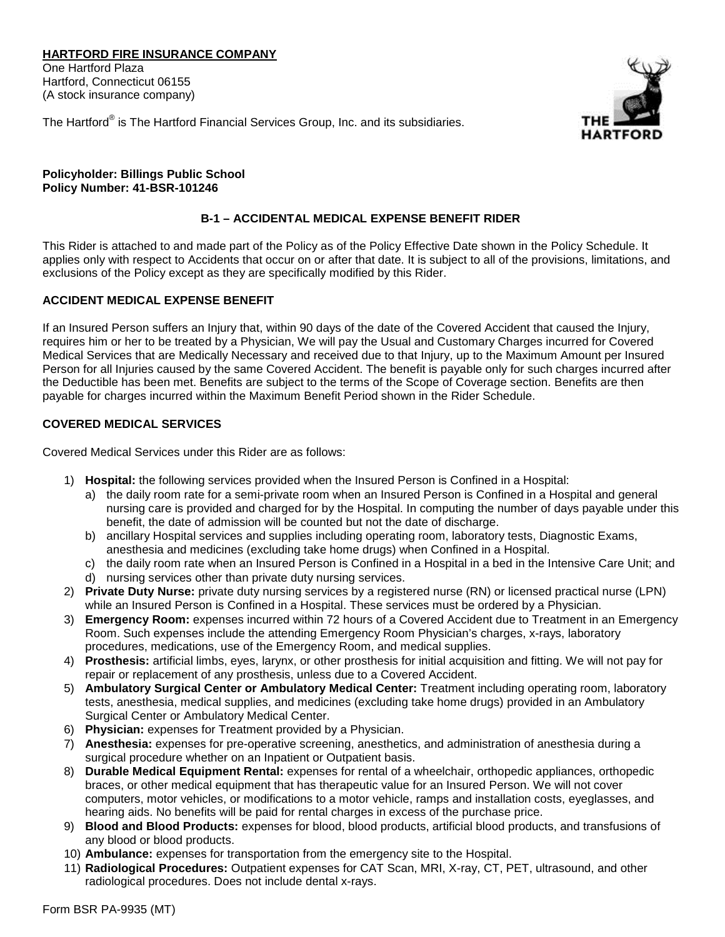# **HARTFORD FIRE INSURANCE COMPANY**

One Hartford Plaza Hartford, Connecticut 06155 (A stock insurance company)



The Hartford® is The Hartford Financial Services Group, Inc. and its subsidiaries.

**Policyholder: Billings Public School Policy Number: 41-BSR-101246**

# **B-1 – ACCIDENTAL MEDICAL EXPENSE BENEFIT RIDER**

This Rider is attached to and made part of the Policy as of the Policy Effective Date shown in the Policy Schedule. It applies only with respect to Accidents that occur on or after that date. It is subject to all of the provisions, limitations, and exclusions of the Policy except as they are specifically modified by this Rider.

# **ACCIDENT MEDICAL EXPENSE BENEFIT**

If an Insured Person suffers an Injury that, within 90 days of the date of the Covered Accident that caused the Injury, requires him or her to be treated by a Physician, We will pay the Usual and Customary Charges incurred for Covered Medical Services that are Medically Necessary and received due to that Injury, up to the Maximum Amount per Insured Person for all Injuries caused by the same Covered Accident. The benefit is payable only for such charges incurred after the Deductible has been met. Benefits are subject to the terms of the Scope of Coverage section. Benefits are then payable for charges incurred within the Maximum Benefit Period shown in the Rider Schedule.

# **COVERED MEDICAL SERVICES**

Covered Medical Services under this Rider are as follows:

- 1) **Hospital:** the following services provided when the Insured Person is Confined in a Hospital:
	- a) the daily room rate for a semi-private room when an Insured Person is Confined in a Hospital and general nursing care is provided and charged for by the Hospital. In computing the number of days payable under this benefit, the date of admission will be counted but not the date of discharge.
	- b) ancillary Hospital services and supplies including operating room, laboratory tests, Diagnostic Exams, anesthesia and medicines (excluding take home drugs) when Confined in a Hospital.
	- c) the daily room rate when an Insured Person is Confined in a Hospital in a bed in the Intensive Care Unit; and
	- d) nursing services other than private duty nursing services.
- 2) **Private Duty Nurse:** private duty nursing services by a registered nurse (RN) or licensed practical nurse (LPN) while an Insured Person is Confined in a Hospital. These services must be ordered by a Physician.
- 3) **Emergency Room:** expenses incurred within 72 hours of a Covered Accident due to Treatment in an Emergency Room. Such expenses include the attending Emergency Room Physician's charges, x-rays, laboratory procedures, medications, use of the Emergency Room, and medical supplies.
- 4) **Prosthesis:** artificial limbs, eyes, larynx, or other prosthesis for initial acquisition and fitting. We will not pay for repair or replacement of any prosthesis, unless due to a Covered Accident.
- 5) **Ambulatory Surgical Center or Ambulatory Medical Center:** Treatment including operating room, laboratory tests, anesthesia, medical supplies, and medicines (excluding take home drugs) provided in an Ambulatory Surgical Center or Ambulatory Medical Center.
- 6) **Physician:** expenses for Treatment provided by a Physician.
- 7) **Anesthesia:** expenses for pre-operative screening, anesthetics, and administration of anesthesia during a surgical procedure whether on an Inpatient or Outpatient basis.
- 8) **Durable Medical Equipment Rental:** expenses for rental of a wheelchair, orthopedic appliances, orthopedic braces, or other medical equipment that has therapeutic value for an Insured Person. We will not cover computers, motor vehicles, or modifications to a motor vehicle, ramps and installation costs, eyeglasses, and hearing aids. No benefits will be paid for rental charges in excess of the purchase price.
- 9) **Blood and Blood Products:** expenses for blood, blood products, artificial blood products, and transfusions of any blood or blood products.
- 10) **Ambulance:** expenses for transportation from the emergency site to the Hospital.
- 11) **Radiological Procedures:** Outpatient expenses for CAT Scan, MRI, X-ray, CT, PET, ultrasound, and other radiological procedures. Does not include dental x-rays.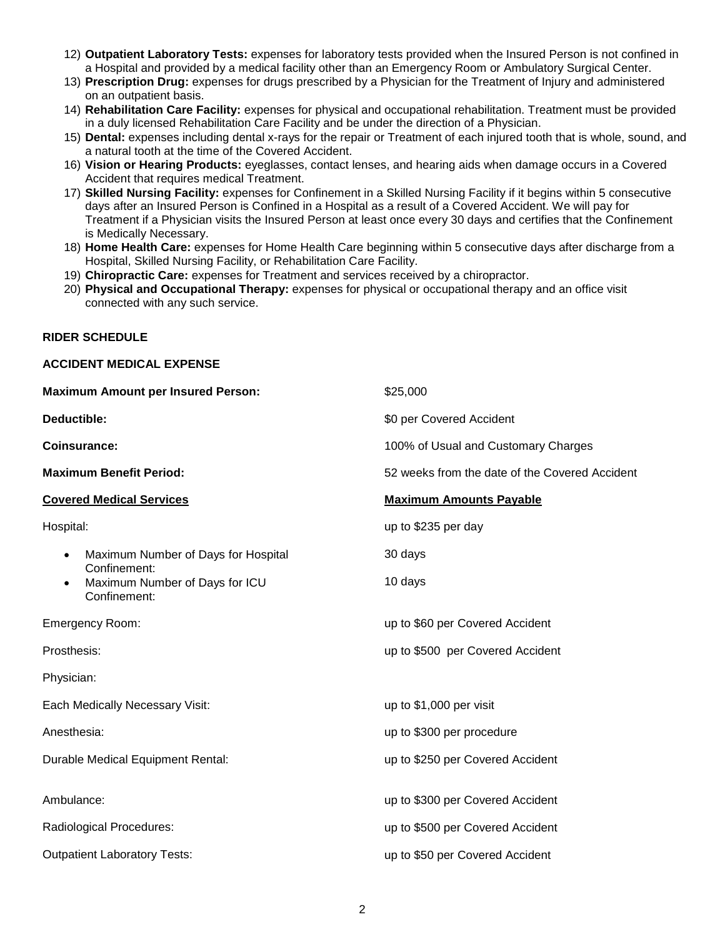- 12) **Outpatient Laboratory Tests:** expenses for laboratory tests provided when the Insured Person is not confined in a Hospital and provided by a medical facility other than an Emergency Room or Ambulatory Surgical Center.
- 13) **Prescription Drug:** expenses for drugs prescribed by a Physician for the Treatment of Injury and administered on an outpatient basis.
- 14) **Rehabilitation Care Facility:** expenses for physical and occupational rehabilitation. Treatment must be provided in a duly licensed Rehabilitation Care Facility and be under the direction of a Physician.
- 15) **Dental:** expenses including dental x-rays for the repair or Treatment of each injured tooth that is whole, sound, and a natural tooth at the time of the Covered Accident.
- 16) **Vision or Hearing Products:** eyeglasses, contact lenses, and hearing aids when damage occurs in a Covered Accident that requires medical Treatment.
- 17) **Skilled Nursing Facility:** expenses for Confinement in a Skilled Nursing Facility if it begins within 5 consecutive days after an Insured Person is Confined in a Hospital as a result of a Covered Accident. We will pay for Treatment if a Physician visits the Insured Person at least once every 30 days and certifies that the Confinement is Medically Necessary.
- 18) **Home Health Care:** expenses for Home Health Care beginning within 5 consecutive days after discharge from a Hospital, Skilled Nursing Facility, or Rehabilitation Care Facility.
- 19) **Chiropractic Care:** expenses for Treatment and services received by a chiropractor.
- 20) **Physical and Occupational Therapy:** expenses for physical or occupational therapy and an office visit connected with any such service.

#### **RIDER SCHEDULE**

**ACCIDENT MEDICAL EXPENSE** 

| <b>Maximum Amount per Insured Person:</b>                                   | \$25,000                                       |  |  |
|-----------------------------------------------------------------------------|------------------------------------------------|--|--|
| Deductible:                                                                 | \$0 per Covered Accident                       |  |  |
| <b>Coinsurance:</b>                                                         | 100% of Usual and Customary Charges            |  |  |
| <b>Maximum Benefit Period:</b>                                              | 52 weeks from the date of the Covered Accident |  |  |
| <b>Covered Medical Services</b>                                             | <b>Maximum Amounts Payable</b>                 |  |  |
| Hospital:                                                                   | up to \$235 per day                            |  |  |
| Maximum Number of Days for Hospital<br>$\bullet$                            | 30 days                                        |  |  |
| Confinement:<br>Maximum Number of Days for ICU<br>$\bullet$<br>Confinement: | 10 days                                        |  |  |
| Emergency Room:                                                             | up to \$60 per Covered Accident                |  |  |
| Prosthesis:                                                                 | up to \$500 per Covered Accident               |  |  |
| Physician:                                                                  |                                                |  |  |
| Each Medically Necessary Visit:                                             | up to \$1,000 per visit                        |  |  |
| Anesthesia:                                                                 | up to \$300 per procedure                      |  |  |
| Durable Medical Equipment Rental:                                           | up to \$250 per Covered Accident               |  |  |
| Ambulance:                                                                  | up to \$300 per Covered Accident               |  |  |
| Radiological Procedures:                                                    | up to \$500 per Covered Accident               |  |  |
| <b>Outpatient Laboratory Tests:</b>                                         | up to \$50 per Covered Accident                |  |  |
|                                                                             |                                                |  |  |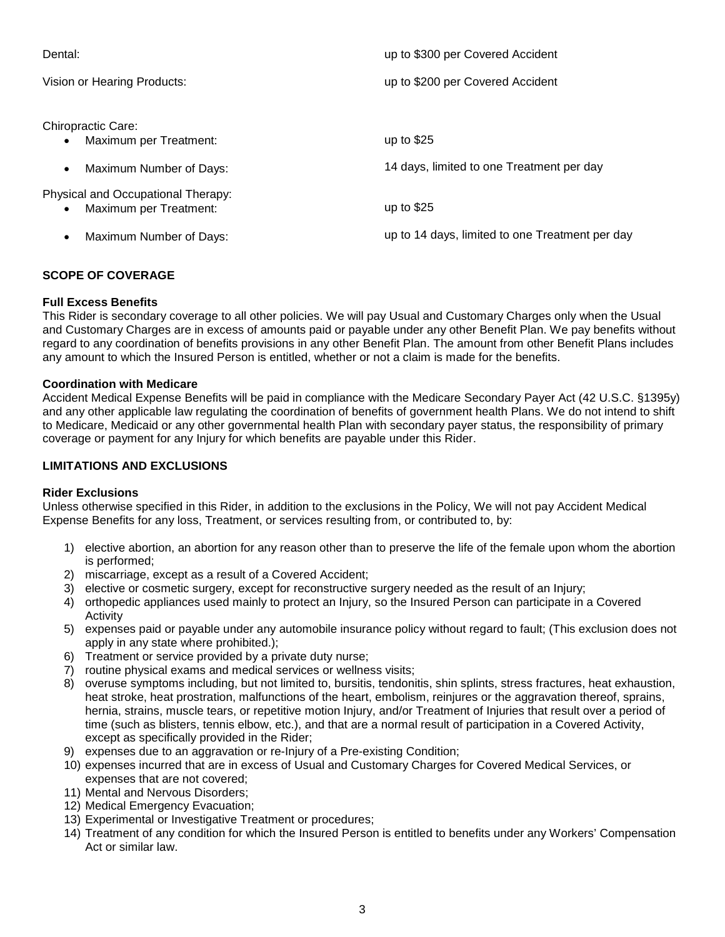| Dental:                                                      | up to \$300 per Covered Accident                |
|--------------------------------------------------------------|-------------------------------------------------|
| Vision or Hearing Products:                                  | up to \$200 per Covered Accident                |
| Chiropractic Care:<br>Maximum per Treatment:<br>$\bullet$    | up to $$25$                                     |
| Maximum Number of Days:<br>$\bullet$                         | 14 days, limited to one Treatment per day       |
| Physical and Occupational Therapy:<br>Maximum per Treatment: | up to $$25$                                     |
| Maximum Number of Days:<br>$\bullet$                         | up to 14 days, limited to one Treatment per day |

# **SCOPE OF COVERAGE**

#### **Full Excess Benefits**

This Rider is secondary coverage to all other policies. We will pay Usual and Customary Charges only when the Usual and Customary Charges are in excess of amounts paid or payable under any other Benefit Plan. We pay benefits without regard to any coordination of benefits provisions in any other Benefit Plan. The amount from other Benefit Plans includes any amount to which the Insured Person is entitled, whether or not a claim is made for the benefits.

#### **Coordination with Medicare**

Accident Medical Expense Benefits will be paid in compliance with the Medicare Secondary Payer Act (42 U.S.C. §1395y) and any other applicable law regulating the coordination of benefits of government health Plans. We do not intend to shift to Medicare, Medicaid or any other governmental health Plan with secondary payer status, the responsibility of primary coverage or payment for any Injury for which benefits are payable under this Rider.

# **LIMITATIONS AND EXCLUSIONS**

#### **Rider Exclusions**

Unless otherwise specified in this Rider, in addition to the exclusions in the Policy, We will not pay Accident Medical Expense Benefits for any loss, Treatment, or services resulting from, or contributed to, by:

- 1) elective abortion, an abortion for any reason other than to preserve the life of the female upon whom the abortion is performed;
- 2) miscarriage, except as a result of a Covered Accident;
- 3) elective or cosmetic surgery, except for reconstructive surgery needed as the result of an Injury;
- 4) orthopedic appliances used mainly to protect an Injury, so the Insured Person can participate in a Covered **Activity**
- 5) expenses paid or payable under any automobile insurance policy without regard to fault; (This exclusion does not apply in any state where prohibited.);
- 6) Treatment or service provided by a private duty nurse;
- 7) routine physical exams and medical services or wellness visits;
- 8) overuse symptoms including, but not limited to, bursitis, tendonitis, shin splints, stress fractures, heat exhaustion, heat stroke, heat prostration, malfunctions of the heart, embolism, reinjures or the aggravation thereof, sprains, hernia, strains, muscle tears, or repetitive motion Injury, and/or Treatment of Injuries that result over a period of time (such as blisters, tennis elbow, etc.), and that are a normal result of participation in a Covered Activity, except as specifically provided in the Rider;
- 9) expenses due to an aggravation or re-Injury of a Pre-existing Condition;
- 10) expenses incurred that are in excess of Usual and Customary Charges for Covered Medical Services, or expenses that are not covered;
- 11) Mental and Nervous Disorders;
- 12) Medical Emergency Evacuation;
- 13) Experimental or Investigative Treatment or procedures;
- 14) Treatment of any condition for which the Insured Person is entitled to benefits under any Workers' Compensation Act or similar law.